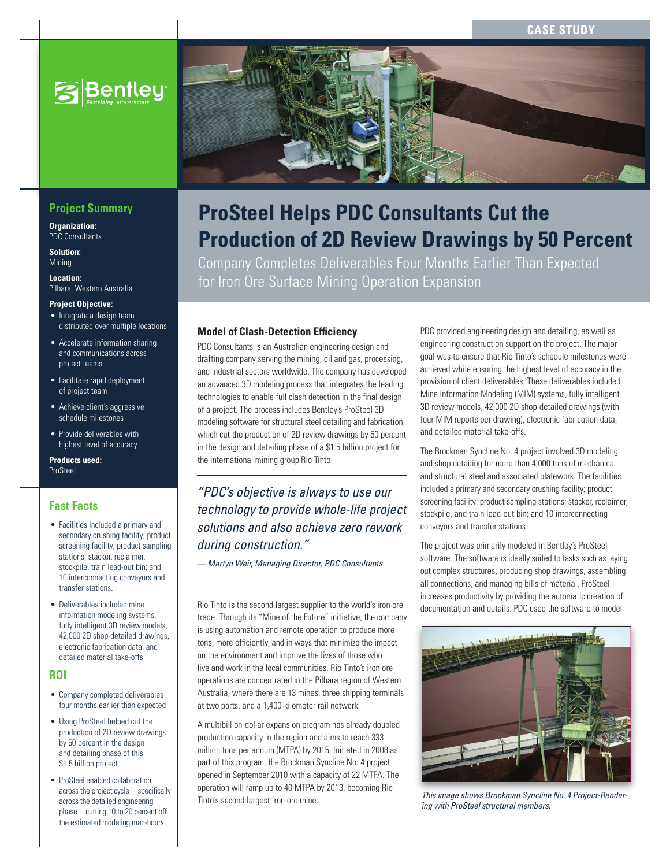**Case Study**



# **Project Summary**

**Organization:**  PDC Consultants

**Solution: Mining** 

**Location:**  Pilbara, Western Australia

#### **Project Objective:**

- Integrate a design team distributed over multiple locations
- Accelerate information sharing and communications across project teams
- • Facilitate rapid deployment of project team
- Achieve client's aggressive schedule milestones
- • Provide deliverables with highest level of accuracy

**Products used:** ProSteel

### **Fast Facts**

- • Facilities included a primary and secondary crushing facility; product screening facility; product sampling stations; stacker, reclaimer, stockpile, train lead-out bin; and 10 interconnecting conveyors and transfer stations.
- Deliverables included mine information modeling systems, fully intelligent 3D review models, 42,000 2D shop-detailed drawings, electronic fabrication data, and detailed material take-offs

## **ROI**

- Company completed deliverables four months earlier than expected
- • Using ProSteel helped cut the production of 2D review drawings by 50 percent in the design and detailing phase of this \$1.5 billion project
- ProSteel enabled collaboration across the project cycle—specifically across the detailed engineering phase—cutting 10 to 20 percent off the estimated modeling man-hours



Company Completes Deliverables Four Months Earlier Than Expected for Iron Ore Surface Mining Operation Expansion

### **Model of Clash-Detection Efficiency**

PDC Consultants is an Australian engineering design and drafting company serving the mining, oil and gas, processing, and industrial sectors worldwide. The company has developed an advanced 3D modeling process that integrates the leading technologies to enable full clash detection in the final design of a project. The process includes Bentley's ProSteel 3D modeling software for structural steel detailing and fabrication, which cut the production of 2D review drawings by 50 percent in the design and detailing phase of a \$1.5 billion project for the international mining group Rio Tinto.

*"PDC's objective is always to use our technology to provide whole-life project solutions and also achieve zero rework during construction."* 

*— Martyn Weir, Managing Director, PDC Consultants* 

Rio Tinto is the second largest supplier to the world's iron ore trade. Through its "Mine of the Future" initiative, the company is using automation and remote operation to produce more tons, more efficiently, and in ways that minimize the impact on the environment and improve the lives of those who live and work in the local communities. Rio Tinto's iron ore operations are concentrated in the Pilbara region of Western Australia, where there are 13 mines, three shipping terminals at two ports, and a 1,400-kilometer rail network.

A multibillion-dollar expansion program has already doubled production capacity in the region and aims to reach 333 million tons per annum (MTPA) by 2015. Initiated in 2008 as part of this program, the Brockman Syncline No. 4 project opened in September 2010 with a capacity of 22 MTPA. The operation will ramp up to 40 MTPA by 2013, becoming Rio Tinto's second largest iron ore mine.

PDC provided engineering design and detailing, as well as engineering construction support on the project. The major goal was to ensure that Rio Tinto's schedule milestones were achieved while ensuring the highest level of accuracy in the provision of client deliverables. These deliverables included Mine Information Modeling (MIM) systems, fully intelligent 3D review models, 42,000 2D shop-detailed drawings (with four MIM reports per drawing), electronic fabrication data, and detailed material take-offs.

The Brockman Syncline No. 4 project involved 3D modeling and shop detailing for more than 4,000 tons of mechanical and structural steel and associated platework. The facilities included a primary and secondary crushing facility; product screening facility; product sampling stations; stacker, reclaimer, stockpile, and train lead-out bin; and 10 interconnecting conveyors and transfer stations.

The project was primarily modeled in Bentley's ProSteel software. The software is ideally suited to tasks such as laying out complex structures, producing shop drawings, assembling all connections, and managing bills of material. ProSteel increases productivity by providing the automatic creation of documentation and details. PDC used the software to model



*This image shows Brockman Syncline No. 4 Project-Rendering with ProSteel structural members.*